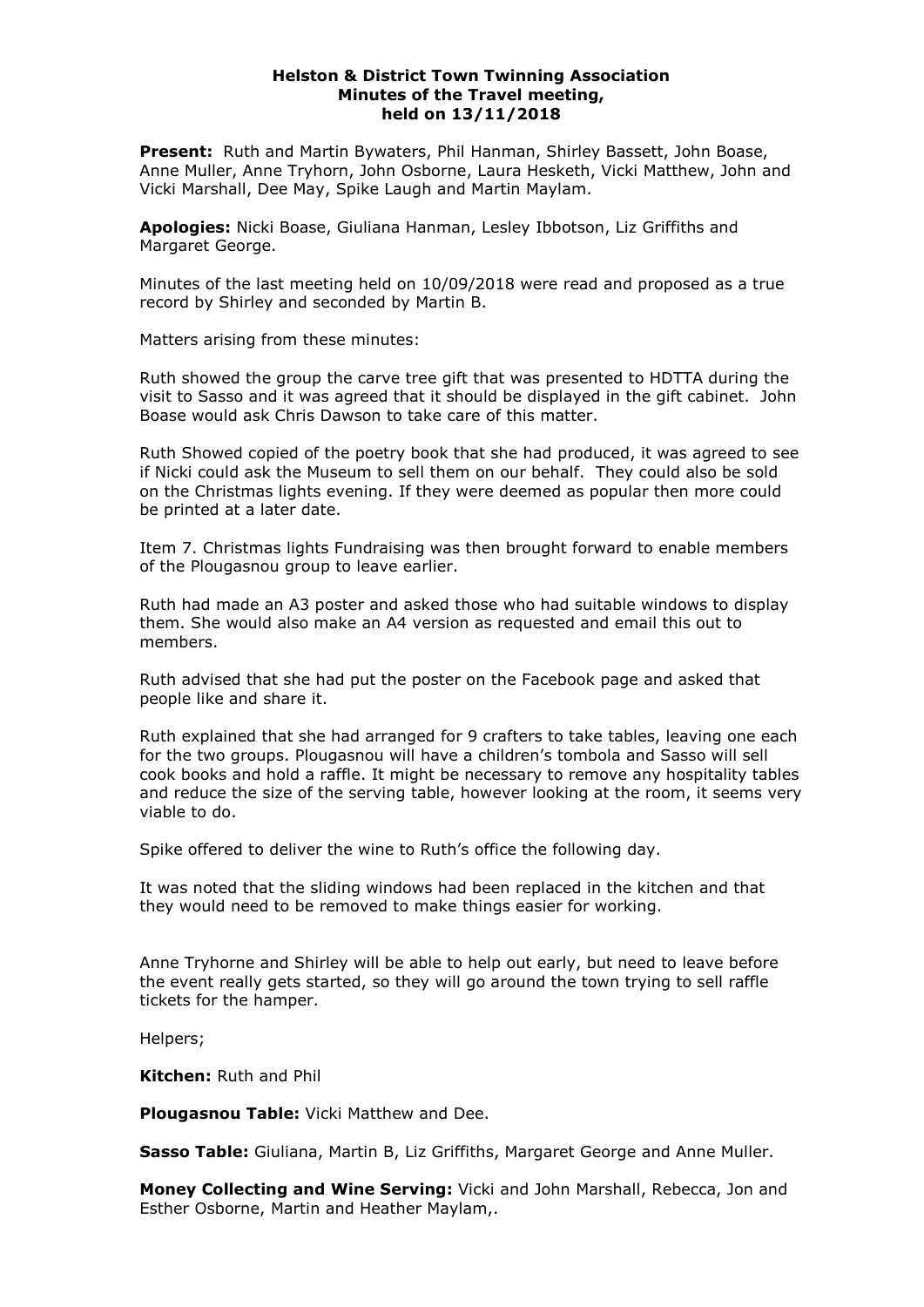### **Helston & District Town Twinning Association Minutes of the Travel meeting, held on 13/11/2018**

**Present:** Ruth and Martin Bywaters, Phil Hanman, Shirley Bassett, John Boase, Anne Muller, Anne Tryhorn, John Osborne, Laura Hesketh, Vicki Matthew, John and Vicki Marshall, Dee May, Spike Laugh and Martin Maylam.

**Apologies:** Nicki Boase, Giuliana Hanman, Lesley Ibbotson, Liz Griffiths and Margaret George.

Minutes of the last meeting held on 10/09/2018 were read and proposed as a true record by Shirley and seconded by Martin B.

Matters arising from these minutes:

Ruth showed the group the carve tree gift that was presented to HDTTA during the visit to Sasso and it was agreed that it should be displayed in the gift cabinet. John Boase would ask Chris Dawson to take care of this matter.

Ruth Showed copied of the poetry book that she had produced, it was agreed to see if Nicki could ask the Museum to sell them on our behalf. They could also be sold on the Christmas lights evening. If they were deemed as popular then more could be printed at a later date.

Item 7. Christmas lights Fundraising was then brought forward to enable members of the Plougasnou group to leave earlier.

Ruth had made an A3 poster and asked those who had suitable windows to display them. She would also make an A4 version as requested and email this out to members.

Ruth advised that she had put the poster on the Facebook page and asked that people like and share it.

Ruth explained that she had arranged for 9 crafters to take tables, leaving one each for the two groups. Plougasnou will have a children's tombola and Sasso will sell cook books and hold a raffle. It might be necessary to remove any hospitality tables and reduce the size of the serving table, however looking at the room, it seems very viable to do.

Spike offered to deliver the wine to Ruth's office the following day.

It was noted that the sliding windows had been replaced in the kitchen and that they would need to be removed to make things easier for working.

Anne Tryhorne and Shirley will be able to help out early, but need to leave before the event really gets started, so they will go around the town trying to sell raffle tickets for the hamper.

Helpers;

**Kitchen:** Ruth and Phil

**Plougasnou Table:** Vicki Matthew and Dee.

**Sasso Table:** Giuliana, Martin B, Liz Griffiths, Margaret George and Anne Muller.

**Money Collecting and Wine Serving:** Vicki and John Marshall, Rebecca, Jon and Esther Osborne, Martin and Heather Maylam,.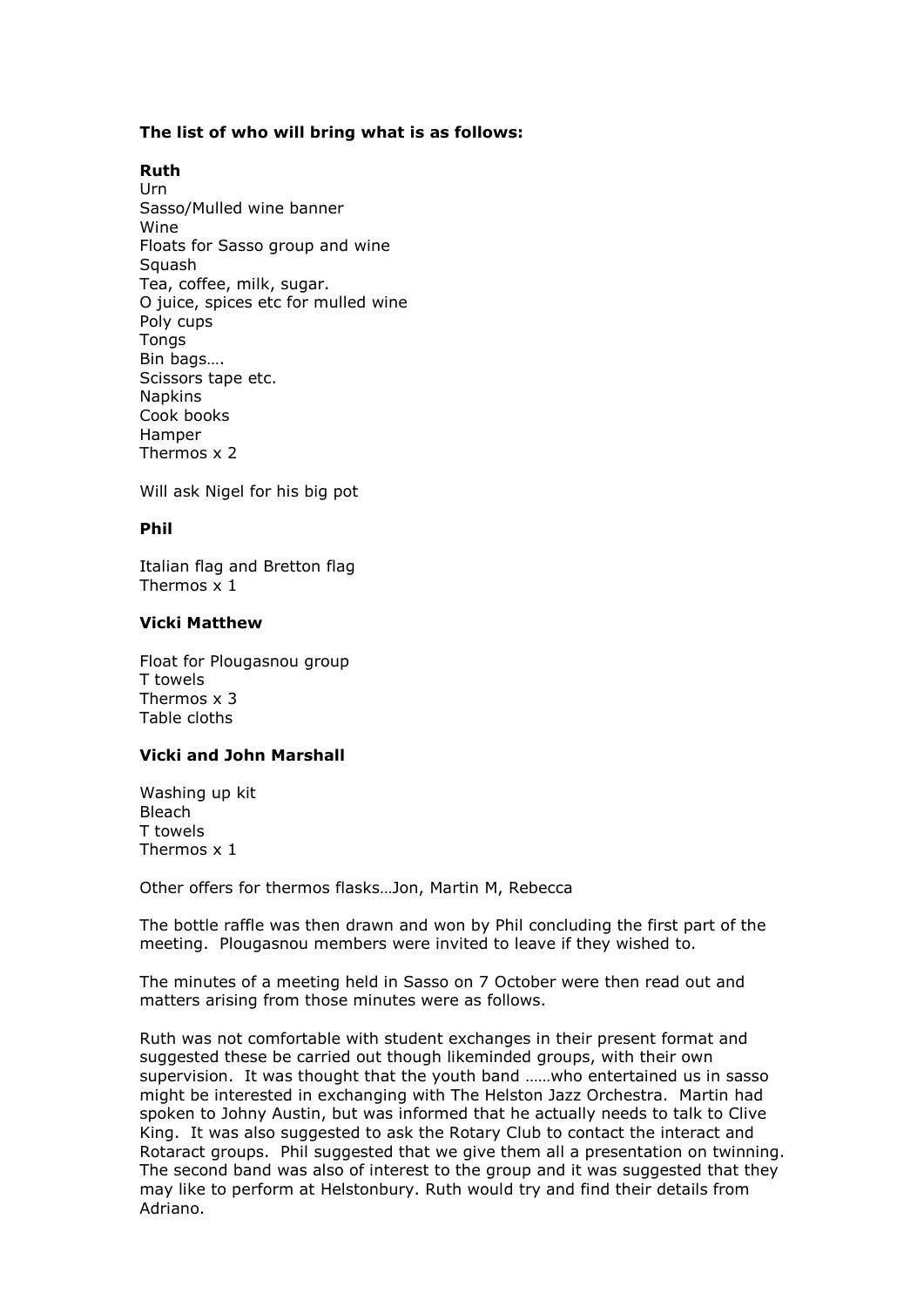# **The list of who will bring what is as follows:**

# **Ruth**

Urn Sasso/Mulled wine banner Wine Floats for Sasso group and wine **Squash** Tea, coffee, milk, sugar. O juice, spices etc for mulled wine Poly cups **Tongs** Bin bags…. Scissors tape etc. **Napkins** Cook books Hamper Thermos x 2

Will ask Nigel for his big pot

## **Phil**

Italian flag and Bretton flag Thermos x 1

### **Vicki Matthew**

Float for Plougasnou group T towels Thermos x 3 Table cloths

# **Vicki and John Marshall**

Washing up kit Bleach T towels Thermos x 1

Other offers for thermos flasks…Jon, Martin M, Rebecca

The bottle raffle was then drawn and won by Phil concluding the first part of the meeting. Plougasnou members were invited to leave if they wished to.

The minutes of a meeting held in Sasso on 7 October were then read out and matters arising from those minutes were as follows.

Ruth was not comfortable with student exchanges in their present format and suggested these be carried out though likeminded groups, with their own supervision. It was thought that the youth band ……who entertained us in sasso might be interested in exchanging with The Helston Jazz Orchestra. Martin had spoken to Johny Austin, but was informed that he actually needs to talk to Clive King. It was also suggested to ask the Rotary Club to contact the interact and Rotaract groups. Phil suggested that we give them all a presentation on twinning. The second band was also of interest to the group and it was suggested that they may like to perform at Helstonbury. Ruth would try and find their details from Adriano.